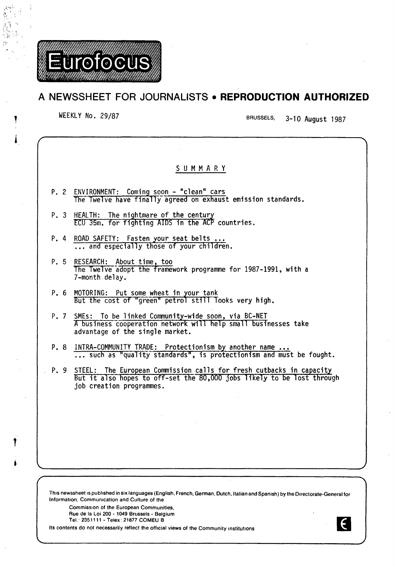

# **A NEWSSHEET FOR JOURNALISTS • REPRODUCTION AUTHORIZED**

WEEKLY No. 29/87 BRUSSELS, 3-10 August 1987

 $\epsilon$ 

| But it also hopes to off-set the 80,000 jobs likely to be lost through |
|------------------------------------------------------------------------|
|                                                                        |
|                                                                        |
|                                                                        |
| such as "quality standards", is protectionism and must be fought.      |

This newssheet is published in six languages (English, French, German, Dutch, Italian and Spanish) by the Directorate-General for Information, Commumcation and Culture of the

Commission of the European Communities, Rue de Ia Loi 200- 1049 Brussels- Belgium

Tel.· 2351111- Telex: 21877 COMEU B

Its contents do not necessarily reflect the official views of the Community institutions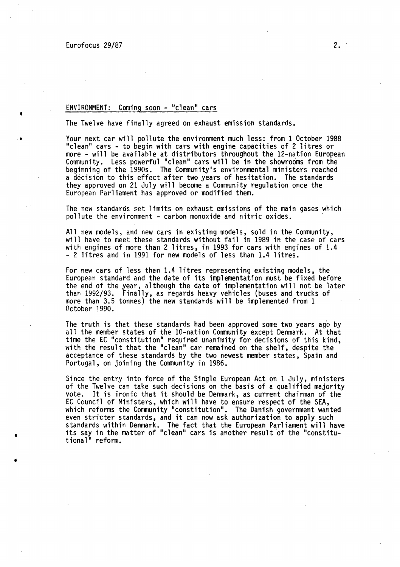•

•

•

•

## ENVIRONMENT: Coming soon - "clean" cars

The Twelve have finally agreed on exhaust emission standards.

Your next car will pollute the environment much less: from 1 October 1988 "clean" cars - to begin with cars with engine capacities of 2 litres or Community. Less powerful "clean" cars will be in the showrooms from the beginning of the 1990s. The Community's environmental ministers reached a decision to this effect after two years of hesitation. The standards they approved on 21 July will become a Community regulation once the European Parliament has approved or modified them.

The new standards set limits on exhaust emissions of the main gases which pollute the environment - carbon monoxide and nitric oxides.

All new models, and new cars in existing models, sold in the Community, will have to meet these standards without fail in 1989 in the case of cars with engines of more than 2 litres, in 1993 for cars with engines of 1.4 - 2 litres and in 1991 for new models of less than 1.4 litres.

For new cars of less than 1.4 litres representing existing models, the European standard and the date of its implementation must be fixed before the end of the year, although the date of implementation will not be later than 1992/93. Finally, as regards heavy vehicles (buses and trucks of more than 3.5 tonnes) the new standards will be implemented from 1 October 1990.

The truth is that these standards had been approved some two years ago by<br>all the member states of the 10-nation Community except Denmark. At that time the EC "constitution" required unanimity for decisions of this kind, with the result that the "clean" car remained on the shelf, despite the acceptance of these standards by the two newest member states, Spain and Portugal, on joining the Community in 1986.

Since the entry into force of the Single European Act on 1 July, ministers of the Twelve can take such decisions on the basis of a qualified majority vote. It is ironic that it should be Denmark, as current chairman of the EC Council of Ministers, which will have to ensure respect of the SEA, which reforms the Community "constitution". The Danish government wanted even stricter standards, and it can now ask authorization to apply such standards within Denmark. The fact that the European Parliament will have its say in the matter of "clean" cars is another result of the "constitutional" reform.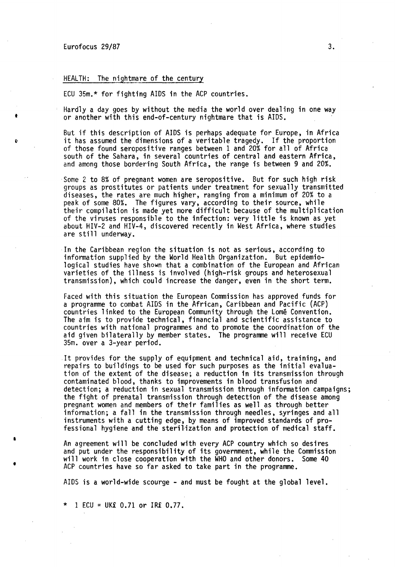I

**S** 

•

### HEALTH: The nightmare of the century

ECU 35m.\* for fighting AIDS in the ACP countries.

Hardly a day goes by without the media the world over dealing in one way or another with this end-of-century nightmare that is AIDS.

But if this description of AIDS is perhaps adequate for Europe, in Africa it has assumed the dimensions of a veritable tragedy. If the proportion of those found seropositive ranges between 1 and 20% for all of Africa south of the Sahara, in several countries of central and eastern Africa, and among those bordering South Africa, the range is between 9 and 20%.

Some 2 to 8% of pregnant women are seropositive. But for such high risk groups as prostitutes or patients under treatment for sexually transmitted diseases, the rates are much higher, ranging from a minimum of 20% to a peak of some 80%. The figures vary, according to their source, while their compilation is made yet more difficult because of the multiplication of the viruses responsible to the infection: very little is known as yet about HIV-2 and HIV-4, discovered recently in West Africa, where studies are still underway.

In the Caribbean region the situation is not as serious, according to information supplied by the World Health Organization. But epidemiological studies have shown that a combination of the European and African varieties of the illness is involved (high-risk groups and heterosexual transmission), which could increase the danger, even in the short term.

Faced with this situation the European Commission has approved funds for a programme to combat AIDS in the African, Caribbean and Pacific (ACP) countries linked to the European Community through the Lome Convention. The aim is to provide technical, financial and scientific assistance to countries with national programmes and to promote the coordination of the aid given bilaterally by member states. The programme will receive ECU 35m. over a 3-year period.

It provides for the supply of equipment and technical aid, training, and repairs to buildings to be used for such purposes as the initial evaluation of the extent of the disease; a reduction in its transmission through contaminated blood, thanks to improvements in blood transfusion and detection; a reduction in sexual transmission through information campaigns; the fight of prenatal transmission through detection of the disease among pregnant women and members of their families as well as through better information; a fall in the transmission through needles, syringes and all instruments with a cutting edge, by means of improved standards of pro- fessional hygiene and the sterilization and protection of medical staff.

An agreement will be concluded with every ACP country which so desires and put under the responsibility of its government, while the Commission will work in close cooperation with the WHO and other donors. Some 40 ACP countries have so far asked to take part in the programme.

AIDS is a world-wide scourge- and must be fought at the global level.

 $1$  ECU = UK£ 0.71 or IR£ 0.77.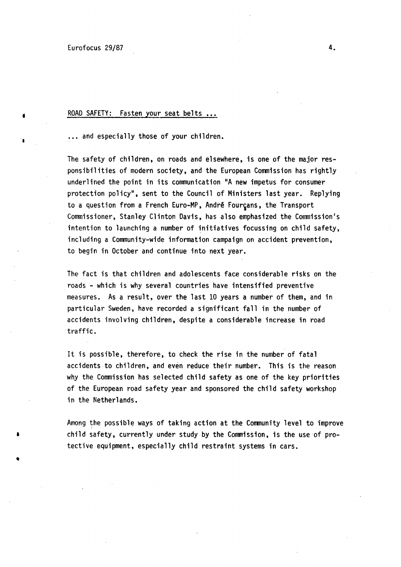•

•

# ROAD SAFETY: Fasten your seat belts ...

... and especially those of your children.

The safety of children, on roads and elsewhere, is one of the major responsibilities of modern society, and the European Commission has rightly underlined the point in its communication "A new impetus for consumer protection policy", sent to the Council of Ministers last year. Replying to a question from a French Euro-MP, André Fourçans, the Transport Commissioner, Stanley Clinton Davis, has also emphasized the Commission's intention to launching a number of initiatives focussing on child safety, including a Community-wide information campaign on accident prevention, to begin in October and continue into next year.

The fact is that children and adolescents face considerable risks on the roads - which is why several countries have intensified preventive measures. As a result, over the last 10 years a number of them, and in particular Sweden, have recorded a significant fall in the number of accidents involving children, despite a considerable increase in road traffic.

It is possible, therefore, to check the rise in the number of fatal accidents.to children, and even reduce their number. This is the reason why the Commission has selected child safety as one of the key priorities of the European road safety year and sponsored the child safety workshop in the Netherlands.

Among the possible ways of taking action at the Community level to improve child safety, currently under study by the Commission, is the use·of protective equipment, especially child restraint systems in cars.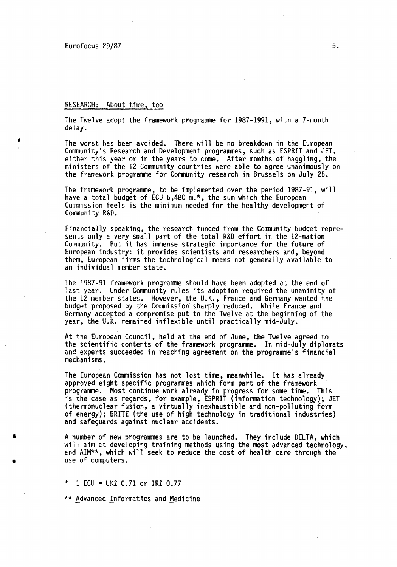I

•

## RESEARCH: About time, too

The Twelve adopt the framework programme for 1987-1991, with a 7-month delay.

The worst has been avoided. There will be no breakdown in the European Community's Research and Development programmes, such as ESPRIT and JET, either this year or in the years to come. After months of haggling, the ministers of the 12 Community countries were able to agree unanimously on the framework programme for Community research in Brussels on July 25.

The framework programme, to be implemented over the period 1987-91, will have a total budget of ECU 6,480 m.\*, the sum which the European Commission feels is the minimum needed for the healthy development of Community R&D.

Financially speaking, the research funded from the Community budget represents only a very small part of the total R&D effort in the 12-nation Community. But it has immense strategic importance for the future of European industry: it provides scientists and researchers and, beyond them, European firms the technological means not generally available to an individual member state.

The 1987-91 framework programme should have been adopted at the end of last year. Under Community rules its adoption required the unanimity of the 12 member states. However, the U.K., France and Germany wanted the budget proposed by the Commission' sharply reduced. While France and Germany accepted a compromise put to the Twelve at the beginning of the year, the U.K. remained inflexible until practically mid-July.

At the European Council, held at the end of June, the Twelve agreed to the scientific contents of the framework programme. In mid-July diplomats and experts succeeded in reaching agreement on the programme's financial mechanisms.

The European Commission has not lost time, meanwhile. It has already approved eight specific programmes which form part of the framework programme. Most continue work already in progress for some time. This is the case as regards, for example, ESPRIT {information technology); JET (thermonuclear fusion, a virtually inexhaustible and non-polluting form of energy); BRITE (the use of high technology in traditional industries) and safeguards against nuclear accidents.

A number of new programmes are to be launched. They include DELTA, which will aim at developing training methods using the most advanced technology, and AIM\*\*, which will seek to reduce the cost of health care through the use of computers.

 $1$  ECU = UK£ 0.71 or IR£ 0.77

\*\* Advanced Informatics and Medicine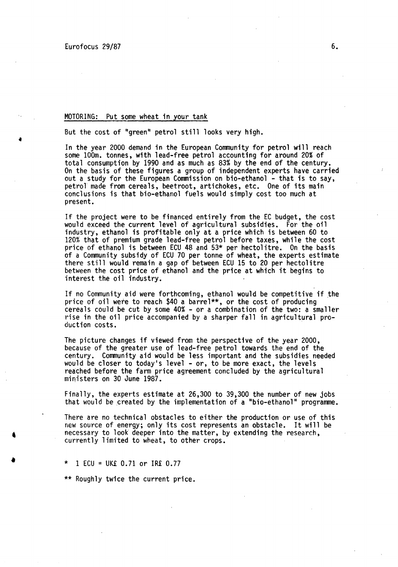•·

•

### MOTORING: Put some wheat in your tank

But the cost of "green" petrol still looks very high.

In the year 2000 demand in the European Community for petrol will reach some 100m. tonnes, with lead-free petrol accounting for around 20% of total consumption by 1990 and as much as 83% by the end of the century. On the basis of these figures a group of independent experts have carried out a study for the European Commission on bio-ethanol - that is to say, petrol made from cereals, beetroot, artichokes, etc. One of its main conclusions is that bio-ethanol fuels would simply cost too much at present.

If the project were to be financed entirely from the EC budget, the cost would exceed the current level of agricultural subsidies. For the oil industry, ethanol is profitable only at a price which is between 60 to 120% that of premium grade lead-free petrol before taxes, while the cost price of ethanol is between ECU 48 and 53\* per hectolitre. On the basis of a Community subsidy of ECU 70 per tonne of wheat, the experts estimate there still would remain a gap of between ECU 15 to 20 per hectolitre between the cost price of ethanol and the price at which it begins to interest the oil industry.

If no Community aid were forthcoming, ethanol would be competitive if the price of oil were to reach \$40 a barrel\*\*, or the cost of producing cereals could be cut by some 40% - or a combination of the two: a smaller rise in the oil price accompanied by a sharper fall in agricultural pro- duction costs.

The picture changes if viewed from the perspective of the year 2000, because of the greater use of lead-free petrol towards the end of the century. Community aid would be less important and the subsidies needed would be closer to today's level - or, to be more exact, the levels reached before the farm price agreement concluded by the agricultural ministers on 30 June 1987.

Finally, the experts estimate at 26,300 to 39,300 the number of new jobs that would be created by the implementation of a "bio-ethanol" programme.

There are no technical obstacles to either the production or use of this new source of energy; only its cost represents an obstacle. It will be necessary to look deeper into the matter, by extending the research, currently limited to wheat, to other crops.

 $1$  ECU = UK£ 0.71 or IR£ 0.77

\*\* Roughly twice the current price.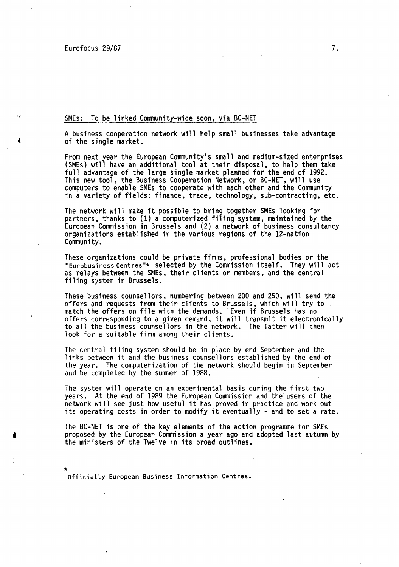•

 $\mathbf{I}$ 

#### SMEs: To be linked Community-wide soon, via BC-NET

A business cooperation network will help small businesses take advantage of the single market.

From next year the European Community's small and medium-sized enterprises (SMEs) will have an additional tool at their disposal, to help them take full advantage of the large single market planned for the end of 1992. This new tool, the Business Cooperation Network, or BC-NET, will use<br>computers to enable SMEs to cooperate with each other and the Community in a variety of fields: finance, trade, technology, sub-contracting, etc.

The network will make it possible to bring together SMEs looking for partners, thanks to (1) a computerized filing system, maintained by the European Commission in Brussels and (2) a network of business consultancy organizations established in the various regions of the 12-nation Community.

These organizations could be private firms, professional bodies or the "Eurobusiness Centres"\* selected by the Commission itself. They will act as relays between the SMEs, their clients or members, and the central filing system in Brussels.

These business counsellors, numbering between 200 and 250, will send the offers and requests from their clients to Brussels, which will try to match the offers on file with the demands. Even if Brussels has no offers corresponding to a given demand, it will transmit it electronically to all the business counsellors in the network. The latter will then look for a suitable firm among their clients.

The central filing system should be in place by end September and the links between it and the business counsellors established by the end of the year. The computerization of the network should begin in September and be completed by the summer of 1988.

The system will operate on an experimental basis during the first two years. At the end of 1989 the European Commission and the users of the network will see just how useful it has proved in practice and work out its operating costs in order to modify it eventually - and to set a rate.

The BC-NET is one of the key elements of the action programme for SMEs proposed by the European Commission a year ago and adopted last autumn by the ministers of the Twelve in its broad outlines.

Officially European Business Information Centres.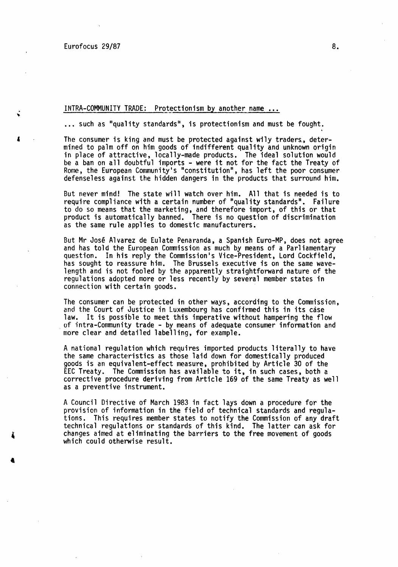Eurofocus 29/87 8.

'

### INTRA-COMMUNITY TRADE: Protectionism by another name ...

... such as "quality standards", is protectionism and must be fought.

The consumer is king and must be protected against wily traders., determined to palm off on him goods of indifferent quality and unknown origin in place of attractive, locally-mqde products. The ideal solution would be a ban on all doubtful imports - were it not for the fact the Treaty of Rome, the European Community's "constitution", has left the poor consumer defenseless against the hidden dangers in the products that surround him.

But never mind! The state will watch over him. All that is needed is to require compliance with a certain number of "quality standards". Failure to do so means that the marketing, and therefore import, of this or that product is automatically banned. There is no question of discrimination as the same rule applies to domestic manufacturers.

But Mr José Alvarez de Eulate Penaranda, a Spanish Euro-MP, does not agree and has told the European Commission as much by means of a Parliamentary question. In his reply the Commission's Vice-President, Lord Cockfield, has sought to reassure him. The Brussels executive is on the same wavelength and is not fooled by the apparently straightforward nature of the regulations adopted more or less recently by several member states in connection with certain goods.

The consumer can be protected in other ways, according to the Commission, and the Court of Justice in Luxembourg has confirmed this in its case<br>law. It is possible to meet this imperative without hampering the flow of intra-Community trade - by means of adequate consumer information and more clear and detailed labelling, for example.

A national regulation which requires imported products literally to have the same characteristics as those laid down for domestically produced goods is an equivalent-effect measure, prohibited by Article 30 of the EEC Treaty. The Commission has available to it, in such cases, both a corrective procedure deriving from Article 169 of the same Treaty as well as a preventive instrument.

A Council Directive of March 1983 in fact lays down a procedure for the provision of information in the field of technical standards and regulations. This requires member states to notify the Commission of any draft technical regulations or standards of this kind. The latter can ask for changes aimed at eliminating the barriers to the free movement of goods which could otherwise result.